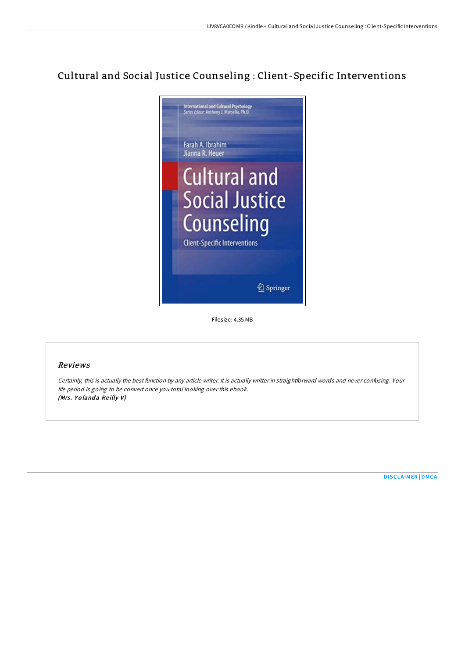# Cultural and Social Justice Counseling : Client-Specific Interventions



Filesize: 4.35 MB

## Reviews

Certainly, this is actually the best function by any article writer. It is actually writter in straightforward words and never confusing. Your life period is going to be convert once you total looking over this ebook. (Mrs. Yolanda Reilly V)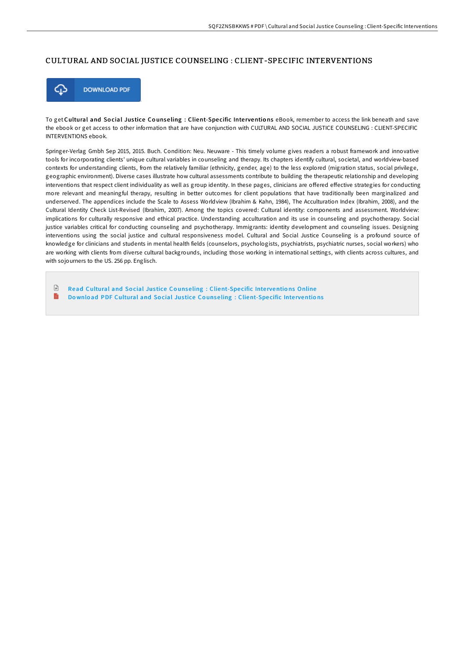#### CULTURAL AND SOCIAL JUSTICE COUNSELING : CLIENT-SPECIFIC INTERVENTIONS



To get Cultural and Social Justice Counseling : Client-Specific Interventions eBook, remember to access the link beneath and save the ebook or get access to other information that are have conjunction with CULTURAL AND SOCIAL JUSTICE COUNSELING : CLIENT-SPECIFIC INTERVENTIONS ebook.

Springer-Verlag Gmbh Sep 2015, 2015. Buch. Condition: Neu. Neuware - This timely volume gives readers a robust framework and innovative tools for incorporating clients' unique cultural variables in counseling and therapy. Its chapters identify cultural, societal, and worldview-based contexts for understanding clients, from the relatively familiar (ethnicity, gender, age) to the less explored (migration status, social privilege, geographic environment). Diverse cases illustrate how cultural assessments contribute to building the therapeutic relationship and developing interventions that respect client individuality as well as group identity. In these pages, clinicians are offered effective strategies for conducting more relevant and meaningful therapy, resulting in better outcomes for client populations that have traditionally been marginalized and underserved. The appendices include the Scale to Assess Worldview (Ibrahim & Kahn, 1984), The Acculturation Index (Ibrahim, 2008), and the Cultural Identity Check List-Revised (Ibrahim, 2007). Among the topics covered: Cultural identity: components and assessment. Worldview: implications for culturally responsive and ethical practice. Understanding acculturation and its use in counseling and psychotherapy. Social justice variables critical for conducting counseling and psychotherapy. Immigrants: identity development and counseling issues. Designing interventions using the social justice and cultural responsiveness model. Cultural and Social Justice Counseling is a profound source of knowledge for clinicians and students in mental health fields (counselors, psychologists, psychiatrists, psychiatric nurses, social workers) who are working with clients from diverse cultural backgrounds, including those working in international settings, with clients across cultures, and with sojourners to the US. 256 pp. Englisch.

 $\mathbb{R}$ Read Cultural and Social Justice Counseling : [Client-Spe](http://almighty24.tech/cultural-and-social-justice-counseling-client-sp.html)cific Interventions Online  $\blacksquare$ Download PDF Cultural and Social Justice Counseling : [Client-Spe](http://almighty24.tech/cultural-and-social-justice-counseling-client-sp.html)cific Interventions